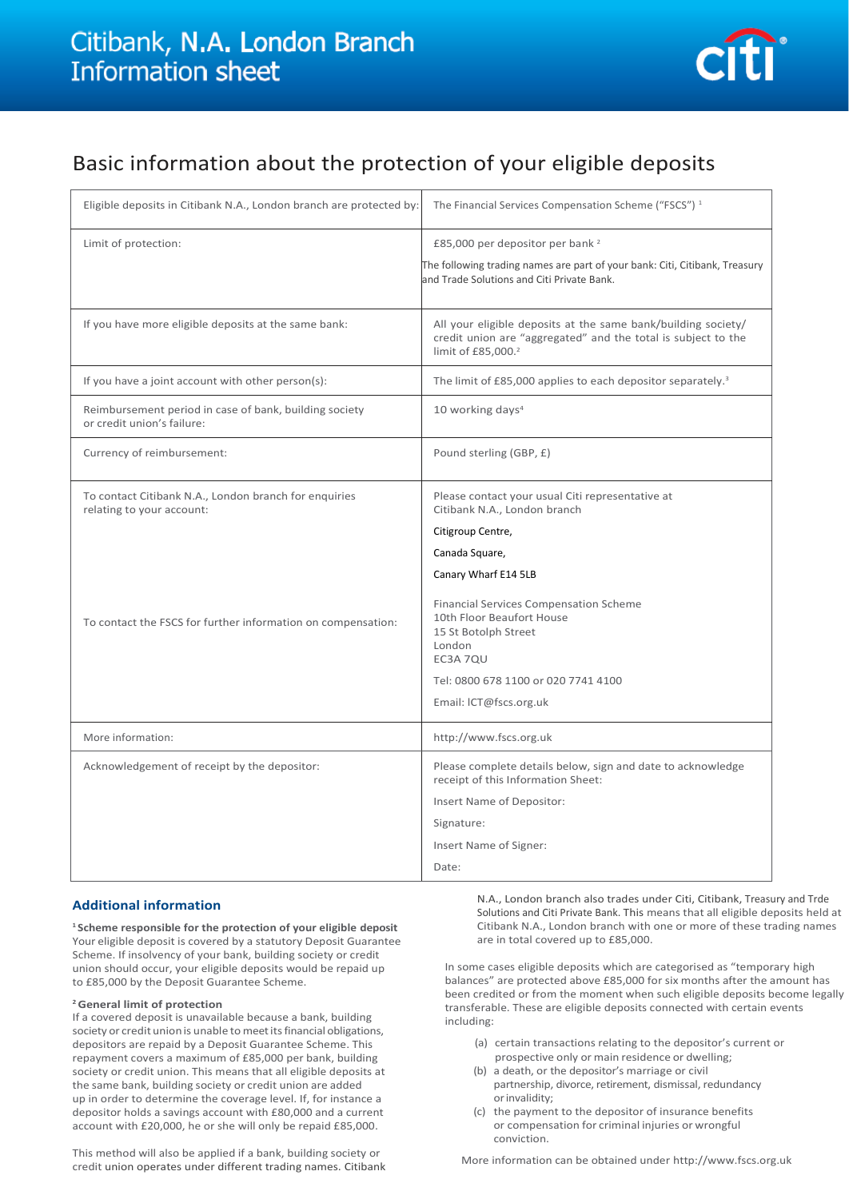# Citibank, N.A. London Branch **Information sheet**



# Basic information about the protection of your eligible deposits

| Eligible deposits in Citibank N.A., London branch are protected by:                  | The Financial Services Compensation Scheme ("FSCS") <sup>1</sup>                                                                                                 |
|--------------------------------------------------------------------------------------|------------------------------------------------------------------------------------------------------------------------------------------------------------------|
| Limit of protection:                                                                 | £85,000 per depositor per bank <sup>2</sup>                                                                                                                      |
|                                                                                      | The following trading names are part of your bank: Citi, Citibank, Treasury<br>and Trade Solutions and Citi Private Bank.                                        |
| If you have more eligible deposits at the same bank:                                 | All your eligible deposits at the same bank/building society/<br>credit union are "aggregated" and the total is subject to the<br>limit of £85,000. <sup>2</sup> |
| If you have a joint account with other person(s):                                    | The limit of £85,000 applies to each depositor separately. <sup>3</sup>                                                                                          |
| Reimbursement period in case of bank, building society<br>or credit union's failure: | 10 working days <sup>4</sup>                                                                                                                                     |
| Currency of reimbursement:                                                           | Pound sterling (GBP, £)                                                                                                                                          |
| To contact Citibank N.A., London branch for enquiries<br>relating to your account:   | Please contact your usual Citi representative at<br>Citibank N.A., London branch                                                                                 |
|                                                                                      | Citigroup Centre,                                                                                                                                                |
|                                                                                      | Canada Square,                                                                                                                                                   |
|                                                                                      | Canary Wharf E14 5LB                                                                                                                                             |
|                                                                                      | <b>Financial Services Compensation Scheme</b>                                                                                                                    |
| To contact the FSCS for further information on compensation:                         | 10th Floor Beaufort House<br>15 St Botolph Street                                                                                                                |
|                                                                                      | London<br>EC3A 7QU                                                                                                                                               |
|                                                                                      | Tel: 0800 678 1100 or 020 7741 4100                                                                                                                              |
|                                                                                      | Email: ICT@fscs.org.uk                                                                                                                                           |
| More information:                                                                    | http://www.fscs.org.uk                                                                                                                                           |
| Acknowledgement of receipt by the depositor:                                         | Please complete details below, sign and date to acknowledge<br>receipt of this Information Sheet:                                                                |
|                                                                                      | Insert Name of Depositor:                                                                                                                                        |
|                                                                                      | Signature:                                                                                                                                                       |
|                                                                                      | Insert Name of Signer:                                                                                                                                           |
|                                                                                      | Date:                                                                                                                                                            |

### **Additional information**

**<sup>1</sup>Scheme responsible for the protection of your eligible deposit**  Your eligible deposit is covered by a statutory Deposit Guarantee Scheme. If insolvency of your bank, building society or credit union should occur, your eligible deposits would be repaid up to £85,000 by the Deposit Guarantee Scheme.

### **<sup>2</sup>General limit of protection**

If a covered deposit is unavailable because a bank, building society or credit union is unable to meet its financial obligations, depositors are repaid by a Deposit Guarantee Scheme. This repayment covers a maximum of £85,000 per bank, building society or credit union. This means that all eligible deposits at the same bank, building society or credit union are added up in order to determine the coverage level. If, for instance a depositor holds a savings account with £80,000 and a current account with £20,000, he or she will only be repaid £85,000.

This method will also be applied if a bank, building society or credit union operates under different trading names. Citibank

N.A., London branch also trades under Citi, Citibank, Treasury and Trde Solutions and Citi Private Bank. This means that all eligible deposits held at Citibank N.A., London branch with one or more of these trading names are in total covered up to £85,000.

In some cases eligible deposits which are categorised as "temporary high balances" are protected above £85,000 for six months after the amount has been credited or from the moment when such eligible deposits become legally transferable. These are eligible deposits connected with certain events including:

- (a) certain transactions relating to the depositor's current or prospective only or main residence or dwelling;
- (b) a death, or the depositor's marriage or civil partnership, divorce, retirement, dismissal, redundancy orinvalidity;
- (c) the payment to the depositor of insurance benefits or compensation for criminal injuries or wrongful conviction.

More information can be obtained unde[r http://www.fscs.org.uk](http://www.fscs.org.uk/)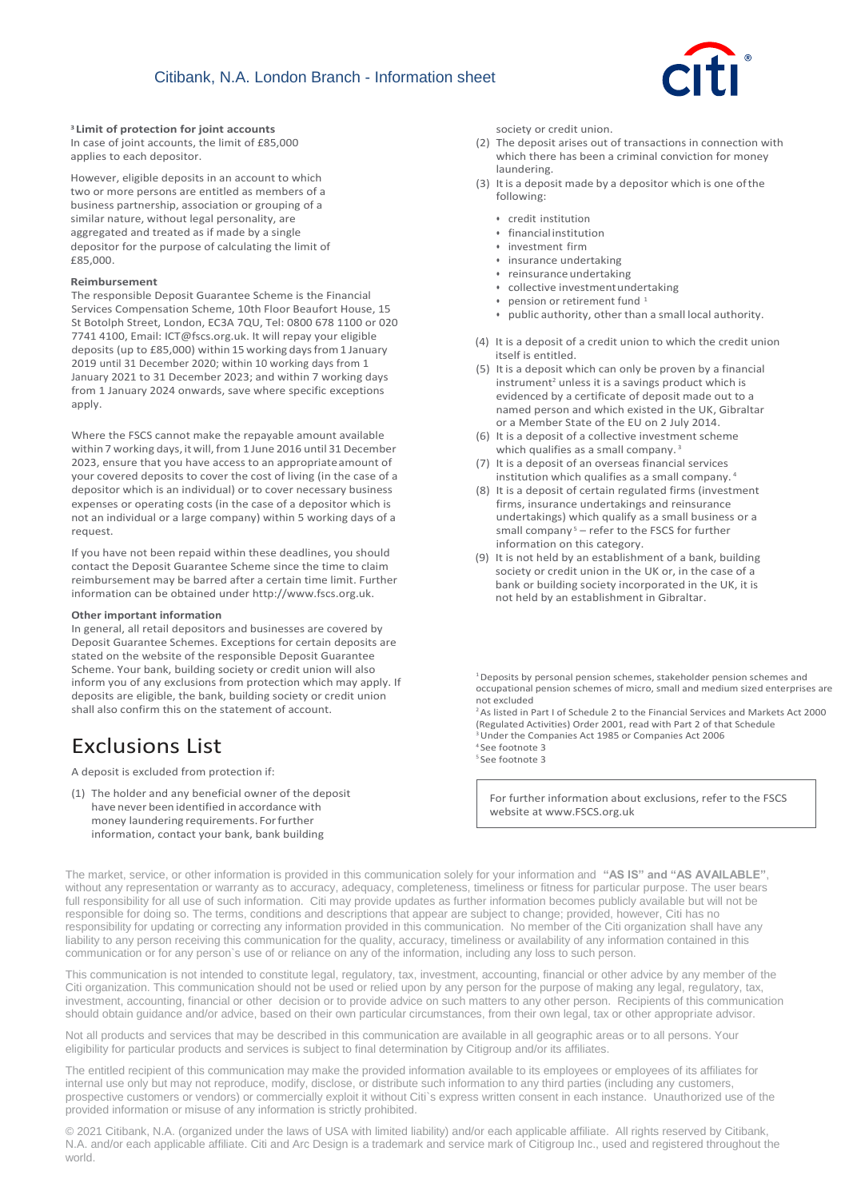

#### **<sup>3</sup>Limit of protection for joint accounts**

In case of joint accounts, the limit of £85,000 applies to each depositor.

However, eligible deposits in an account to which two or more persons are entitled as members of a business partnership, association or grouping of a similar nature, without legal personality, are aggregated and treated as if made by a single depositor for the purpose of calculating the limit of £85,000.

#### **Reimbursement**

The responsible Deposit Guarantee Scheme is the Financial Services Compensation Scheme, 10th Floor Beaufort House, 15 St Botolph Street, London, EC3A 7QU, Tel: 0800 678 1100 or 020 7741 4100, Email: [ICT@fscs.org.uk.](mailto:ICT@fscs.org.uk) It will repay your eligible deposits (up to £85,000) within 15 working days from 1 January 2019 until 31 December 2020; within 10 working days from 1 January 2021 to 31 December 2023; and within 7 working days from 1 January 2024 onwards, save where specific exceptions apply.

Where the FSCS cannot make the repayable amount available within 7 working days, it will, from 1 June 2016 until 31 December 2023, ensure that you have access to an appropriateamount of your covered deposits to cover the cost of living (in the case of a depositor which is an individual) or to cover necessary business expenses or operating costs (in the case of a depositor which is not an individual or a large company) within 5 working days of a request.

If you have not been repaid within these deadlines, you should contact the Deposit Guarantee Scheme since the time to claim reimbursement may be barred after a certain time limit. Further information can be obtained unde[r http://www.fscs.org.uk.](http://www.fscs.org.uk/)

#### **Other important information**

In general, all retail depositors and businesses are covered by Deposit Guarantee Schemes. Exceptions for certain deposits are stated on the website of the responsible Deposit Guarantee Scheme. Your bank, building society or credit union will also inform you of any exclusions from protection which may apply. If deposits are eligible, the bank, building society or credit union shall also confirm this on the statement of account.

## Exclusions List

A deposit is excluded from protection if:

(1) The holder and any beneficial owner of the deposit have never been identified in accordance with money laundering requirements. Forfurther information, contact your bank, bank building

society or credit union.

- (2) The deposit arises out of transactions in connection with which there has been a criminal conviction for money laundering.
- (3) Itis a deposit made by a depositor which is one ofthe following:
	- credit institution
	- financialinstitution
	- investment firm
	- insurance undertaking
	- reinsurance undertaking
	- collective investmentundertaking
	- $\bullet$  pension or retirement fund  $^1$
	- public authority, other than a small local authority.
- (4) It is a deposit of a credit union to which the credit union itself is entitled.
- (5) Itis a deposit which can only be proven by a financial instrument<sup>2</sup> unless it is a savings product which is evidenced by a certificate of deposit made out to a named person and which existed in the UK, Gibraltar or a Member State of the EU on 2 July 2014.
- (6) It is a deposit of a collective investment scheme which qualifies as a small company.<sup>3</sup>
- (7) It is a deposit of an overseas financial services institution which qualifies as a small company. <sup>4</sup>
- (8) It is a deposit of certain regulated firms (investment firms, insurance undertakings and reinsurance undertakings) which qualify as a small business or a small company<sup>5</sup> – refer to the FSCS for further information on this category.
- (9) It is not held by an establishment of a bank, building society or credit union in the UK or, in the case of a bank or building society incorporated in the UK, it is not held by an establishment in Gibraltar.

<sup>1</sup> Deposits by personal pension schemes, stakeholder pension schemes and occupational pension schemes of micro, small and medium sized enterprises are not excluded

 $2$ As listed in Part I of Schedule 2 to the Financial Services and Markets Act 2000 (Regulated Activities) Order 2001, read with Part 2 of that Schedule <sup>3</sup>Under the Companies Act 1985 or Companies Act 2006 <sup>4</sup> See footnote 3 <sup>5</sup> See footnote 3

For further information about exclusions, refer to the FSCS website a[t www.FSCS.org.uk](http://www.fscs.org.uk/)

The market, service, or other information is provided in this communication solely for your information and **"AS IS" and "AS AVAILABLE"**, without any representation or warranty as to accuracy, adequacy, completeness, timeliness or fitness for particular purpose. The user bears full responsibility for all use of such information. Citi may provide updates as further information becomes publicly available but will not be responsible for doing so. The terms, conditions and descriptions that appear are subject to change; provided, however, Citi has no responsibility for updating or correcting any information provided in this communication. No member of the Citi organization shall have any liability to any person receiving this communication for the quality, accuracy, timeliness or availability of any information contained in this communication or for any person`s use of or reliance on any of the information, including any loss to such person.

This communication is not intended to constitute legal, regulatory, tax, investment, accounting, financial or other advice by any member of the Citi organization. This communication should not be used or relied upon by any person for the purpose of making any legal, regulatory, tax, investment, accounting, financial or other decision or to provide advice on such matters to any other person. Recipients of this communication should obtain guidance and/or advice, based on their own particular circumstances, from their own legal, tax or other appropriate advisor.

Not all products and services that may be described in this communication are available in all geographic areas or to all persons. Your eligibility for particular products and services is subject to final determination by Citigroup and/or its affiliates.

The entitled recipient of this communication may make the provided information available to its employees or employees of its affiliates for internal use only but may not reproduce, modify, disclose, or distribute such information to any third parties (including any customers, prospective customers or vendors) or commercially exploit it without Citi`s express written consent in each instance. Unauthorized use of the provided information or misuse of any information is strictly prohibited.

© 2021 Citibank, N.A. (organized under the laws of USA with limited liability) and/or each applicable affiliate. All rights reserved by Citibank, N.A. and/or each applicable affiliate. Citi and Arc Design is a trademark and service mark of Citigroup Inc., used and registered throughout the world.